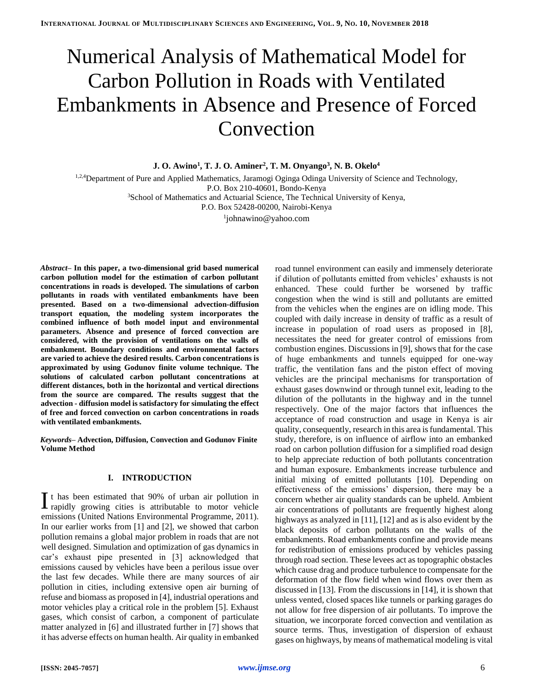# Numerical Analysis of Mathematical Model for Carbon Pollution in Roads with Ventilated Embankments in Absence and Presence of Forced Convection

**J. O. Awino<sup>1</sup> , T. J. O. Aminer<sup>2</sup> , T. M. Onyango<sup>3</sup> , N. B. Okelo<sup>4</sup>**

<sup>1</sup>*,*2*,*<sup>4</sup>Department of Pure and Applied Mathematics, Jaramogi Oginga Odinga University of Science and Technology, P.O. Box 210-40601, Bondo-Kenya <sup>3</sup>School of Mathematics and Actuarial Science, The Technical University of Kenya, P.O. Box 52428-00200, Nairobi-Kenya

1 johnawino@yahoo.com

*Abstract–* **In this paper, a two-dimensional grid based numerical carbon pollution model for the estimation of carbon pollutant concentrations in roads is developed. The simulations of carbon pollutants in roads with ventilated embankments have been presented. Based on a two-dimensional advection-diffusion transport equation, the modeling system incorporates the combined influence of both model input and environmental parameters. Absence and presence of forced convection are considered, with the provision of ventilations on the walls of embankment. Boundary conditions and environmental factors are varied to achieve the desired results. Carbon concentrations is approximated by using Godunov finite volume technique. The solutions of calculated carbon pollutant concentrations at different distances, both in the horizontal and vertical directions from the source are compared. The results suggest that the advection - diffusion model is satisfactory for simulating the effect of free and forced convection on carbon concentrations in roads with ventilated embankments.**

*Keywords–* **Advection, Diffusion, Convection and Godunov Finite Volume Method**

## **I. INTRODUCTION**

t has been estimated that 90% of urban air pollution in It has been estimated that  $90\%$  of urban air pollution in rapidly growing cities is attributable to motor vehicle emissions (United Nations Environmental Programme, 2011). In our earlier works from [1] and [2], we showed that carbon pollution remains a global major problem in roads that are not well designed. Simulation and optimization of gas dynamics in car's exhaust pipe presented in [3] acknowledged that emissions caused by vehicles have been a perilous issue over the last few decades. While there are many sources of air pollution in cities, including extensive open air burning of refuse and biomass as proposed in [4], industrial operations and motor vehicles play a critical role in the problem [5]. Exhaust gases, which consist of carbon, a component of particulate matter analyzed in [6] and illustrated further in [7] shows that it has adverse effects on human health. Air quality in embanked

road tunnel environment can easily and immensely deteriorate if dilution of pollutants emitted from vehicles' exhausts is not enhanced. These could further be worsened by traffic congestion when the wind is still and pollutants are emitted from the vehicles when the engines are on idling mode. This coupled with daily increase in density of traffic as a result of increase in population of road users as proposed in [8], necessitates the need for greater control of emissions from combustion engines. Discussions in [9], shows that for the case of huge embankments and tunnels equipped for one-way traffic, the ventilation fans and the piston effect of moving vehicles are the principal mechanisms for transportation of exhaust gases downwind or through tunnel exit, leading to the dilution of the pollutants in the highway and in the tunnel respectively. One of the major factors that influences the acceptance of road construction and usage in Kenya is air quality, consequently, research in this area is fundamental. This study, therefore, is on influence of airflow into an embanked road on carbon pollution diffusion for a simplified road design to help appreciate reduction of both pollutants concentration and human exposure. Embankments increase turbulence and initial mixing of emitted pollutants [10]. Depending on effectiveness of the emissions' dispersion, there may be a concern whether air quality standards can be upheld. Ambient air concentrations of pollutants are frequently highest along highways as analyzed in [11], [12] and as is also evident by the black deposits of carbon pollutants on the walls of the embankments. Road embankments confine and provide means for redistribution of emissions produced by vehicles passing through road section. These levees act as topographic obstacles which cause drag and produce turbulence to compensate for the deformation of the flow field when wind flows over them as discussed in [13]. From the discussions in [14], it is shown that unless vented, closed spaces like tunnels or parking garages do not allow for free dispersion of air pollutants. To improve the situation, we incorporate forced convection and ventilation as source terms. Thus, investigation of dispersion of exhaust gases on highways, by means of mathematical modeling is vital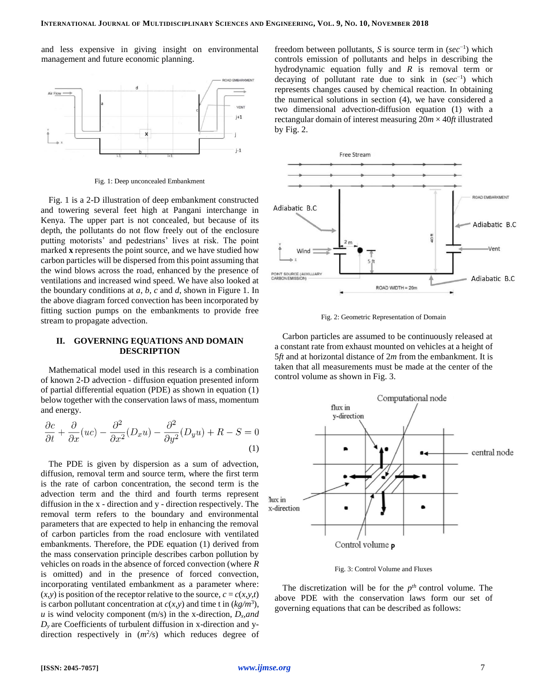and less expensive in giving insight on environmental management and future economic planning.



Fig. 1: Deep unconcealed Embankment

Fig. 1 is a 2-D illustration of deep embankment constructed and towering several feet high at Pangani interchange in Kenya. The upper part is not concealed, but because of its depth, the pollutants do not flow freely out of the enclosure putting motorists' and pedestrians' lives at risk. The point marked **x** represents the point source, and we have studied how carbon particles will be dispersed from this point assuming that the wind blows across the road, enhanced by the presence of ventilations and increased wind speed. We have also looked at the boundary conditions at *a*, *b*, *c* and *d*, shown in Figure 1. In the above diagram forced convection has been incorporated by fitting suction pumps on the embankments to provide free stream to propagate advection.

## **II. GOVERNING EQUATIONS AND DOMAIN DESCRIPTION**

Mathematical model used in this research is a combination of known 2-D advection - diffusion equation presented inform of partial differential equation (PDE) as shown in equation (1) below together with the conservation laws of mass, momentum and energy.

$$
\frac{\partial c}{\partial t} + \frac{\partial}{\partial x}(uc) - \frac{\partial^2}{\partial x^2}(D_x u) - \frac{\partial^2}{\partial y^2}(D_y u) + R - S = 0
$$
\n(1)

 $\sim$   $\sim$ 

 $\sim$   $\sim$ 

The PDE is given by dispersion as a sum of advection, diffusion, removal term and source term, where the first term is the rate of carbon concentration, the second term is the advection term and the third and fourth terms represent diffusion in the x - direction and y - direction respectively. The removal term refers to the boundary and environmental parameters that are expected to help in enhancing the removal of carbon particles from the road enclosure with ventilated embankments. Therefore, the PDE equation (1) derived from the mass conservation principle describes carbon pollution by vehicles on roads in the absence of forced convection (where *R*  is omitted) and in the presence of forced convection, incorporating ventilated embankment as a parameter where:  $(x, y)$  is position of the receptor relative to the source,  $c = c(x, y, t)$ is carbon pollutant concentration at  $c(x, y)$  and time t in  $(kg/m<sup>3</sup>)$ , *u* is wind velocity component (m/s) in the x-direction,  $D_x$ *and*  $D<sub>y</sub>$  are Coefficients of turbulent diffusion in x-direction and ydirection respectively in  $(m^2/s)$  which reduces degree of

freedom between pollutants, *S* is source term in (*sec*−1 ) which controls emission of pollutants and helps in describing the hydrodynamic equation fully and *R* is removal term or decaying of pollutant rate due to sink in (*sec*−1 ) which represents changes caused by chemical reaction. In obtaining the numerical solutions in section (4), we have considered a two dimensional advection-diffusion equation (1) with a rectangular domain of interest measuring 20*m* × 40*ft* illustrated by Fig. 2.



Fig. 2: Geometric Representation of Domain

Carbon particles are assumed to be continuously released at a constant rate from exhaust mounted on vehicles at a height of 5*ft* and at horizontal distance of 2*m* from the embankment. It is taken that all measurements must be made at the center of the control volume as shown in Fig. 3.



Fig. 3: Control Volume and Fluxes

The discretization will be for the  $p^{th}$  control volume. The above PDE with the conservation laws form our set of governing equations that can be described as follows: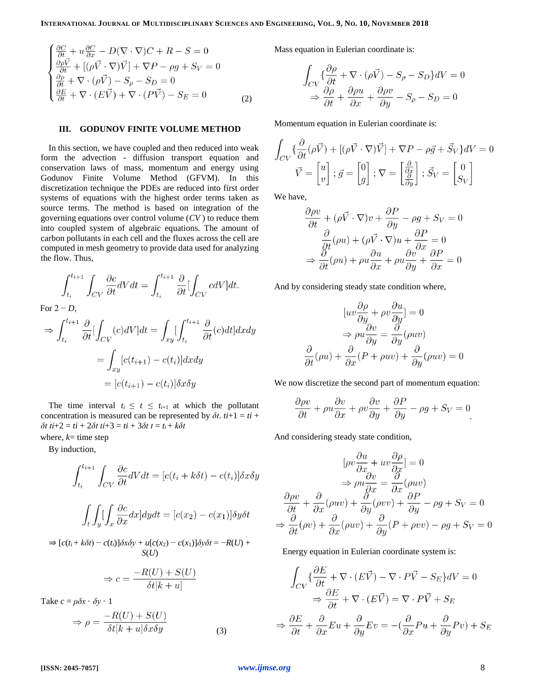$$
\begin{cases}\n\frac{\partial C}{\partial t} + u \frac{\partial C}{\partial x} - D(\nabla \cdot \nabla)C + R - S = 0 \\
\frac{\partial \rho \vec{V}}{\partial t} + [(\rho \vec{V} \cdot \nabla) \vec{V}] + \nabla P - \rho g + S_V = 0 \\
\frac{\partial \rho}{\partial t} + \nabla \cdot (\rho \vec{V}) - S_\rho - S_D = 0 \\
\frac{\partial E}{\partial t} + \nabla \cdot (E \vec{V}) + \nabla \cdot (P \vec{V}) - S_E = 0\n\end{cases}
$$
\n(2)

## **III. GODUNOV FINITE VOLUME METHOD**

In this section, we have coupled and then reduced into weak form the advection - diffusion transport equation and conservation laws of mass, momentum and energy using Godunov Finite Volume Method (GFVM). In this discretization technique the PDEs are reduced into first order systems of equations with the highest order terms taken as source terms. The method is based on integration of the governing equations over control volume (*CV* ) to reduce them into coupled system of algebraic equations. The amount of carbon pollutants in each cell and the fluxes across the cell are computed in mesh geometry to provide data used for analyzing the flow. Thus,

$$
\int_{t_i}^{t_{i+1}} \int_{CV} \frac{\partial c}{\partial t} dV dt = \int_{t_i}^{t_{i+1}} \frac{\partial}{\partial t} [\int_{CV} cdV] dt.
$$

For  $2 - D$ ,

$$
\Rightarrow \int_{t_i}^{t_{i+1}} \frac{\partial}{\partial t} \left[ \int_{CV} (c) dV \right] dt = \int_{xy} \left[ \int_{t_i}^{t_{i+1}} \frac{\partial}{\partial t} (c) dt \right] dx dy
$$

$$
= \int_{xy} [c(t_{i+1}) - c(t_i)] dx dy
$$

$$
= [c(t_{i+1}) - c(t_i)] \delta x \delta y
$$

The time interval  $t_i \leq t \leq t_{i+1}$  at which the pollutant concentration is measured can be represented by  $\delta t$ .  $t i+1 = t i + 1$  $\delta t$  *ti*+2 = *ti* + 2 $\delta t$  *ti*+3 = *ti* + 3 $\delta t$  *t* = *t<sub>i</sub>* +  $k\delta t$ 

where,  $k$ = time step

By induction,

$$
\int_{t_i}^{t_{i+1}} \int_{CV} \frac{\partial c}{\partial t} dV dt = [c(t_i + k\delta t) - c(t_i)] \delta x \delta y
$$

$$
\int_t \int_y \left[ \int_x \frac{\partial c}{\partial x} dx \right] dy dt = [c(x_2) - c(x_1)] \delta y \delta t
$$

$$
\Rightarrow [c(t_i + k\delta t) - c(t_i)]\delta x \delta y + u[c(x_2) - c(x_1)]\delta y \delta t = -R(U) + S(U)
$$

$$
\Rightarrow c = \frac{-R(U) + S(U)}{\delta t[k+u]}
$$

Take  $c = \rho \delta x \cdot \delta y \cdot 1$ 

$$
\Rightarrow \rho = \frac{-R(U) + S(U)}{\delta t[k+u]\delta x \delta y}
$$
\n(3)

Mass equation in Eulerian coordinate is:

$$
\int_{CV} \{\frac{\partial \rho}{\partial t} + \nabla \cdot (\rho \vec{V}) - S_{\rho} - S_D\}dV = 0
$$
  

$$
\Rightarrow \frac{\partial \rho}{\partial t} + \frac{\partial \rho u}{\partial x} + \frac{\partial \rho v}{\partial y} - S_{\rho} - S_D = 0
$$

Momentum equation in Eulerian coordinate is:

$$
\int_{CV} \left\{ \frac{\partial}{\partial t} (\rho \vec{V}) + [(\rho \vec{V} \cdot \nabla) \vec{V}] + \nabla P - \rho \vec{g} + \vec{S}_V \right\} dV = 0
$$
  

$$
\vec{V} = \begin{bmatrix} u \\ v \end{bmatrix}; \vec{g} = \begin{bmatrix} 0 \\ g \end{bmatrix}; \nabla = \begin{bmatrix} \frac{\partial}{\partial x} \\ \frac{\partial}{\partial y} \end{bmatrix}; \vec{S}_V = \begin{bmatrix} 0 \\ S_V \end{bmatrix}
$$

We have,

$$
\frac{\partial \rho v}{\partial t} + (\rho \vec{V} \cdot \nabla) v + \frac{\partial P}{\partial y} - \rho g + S_V = 0
$$

$$
\frac{\partial}{\partial t} (\rho u) + (\rho \vec{V} \cdot \nabla) u + \frac{\partial P}{\partial x} = 0
$$

$$
\Rightarrow \frac{\partial}{\partial t} (\rho u) + \rho u \frac{\partial u}{\partial x} + \rho u \frac{\partial v}{\partial y} + \frac{\partial P}{\partial x} = 0
$$

And by considering steady state condition where,

$$
[uv\frac{\partial \rho}{\partial y} + \rho v \frac{\partial u}{\partial y}] = 0
$$

$$
\Rightarrow \rho u \frac{\partial v}{\partial y} = \frac{\partial}{\partial y}(\rho uv)
$$

$$
\frac{\partial}{\partial t}(\rho u) + \frac{\partial}{\partial x}(P + \rho uv) + \frac{\partial}{\partial y}(\rho uv) = 0
$$

We now discretize the second part of momentum equation:

$$
\frac{\partial \rho v}{\partial t} + \rho u \frac{\partial v}{\partial x} + \rho v \frac{\partial v}{\partial y} + \frac{\partial P}{\partial y} - \rho g + S_V = 0
$$

And considering steady state condition,

$$
[\rho v \frac{\partial u}{\partial x} + uv \frac{\partial \rho}{\partial x}] = 0
$$
  
\n
$$
\Rightarrow \rho u \frac{\partial v}{\partial x} = \frac{\partial}{\partial x} (\rho uv)
$$
  
\n
$$
\frac{\partial \rho v}{\partial t} + \frac{\partial}{\partial x} (\rho uv) + \frac{\partial}{\partial y} (\rho vv) + \frac{\partial P}{\partial y} - \rho g + S_V = 0
$$
  
\n
$$
\Rightarrow \frac{\partial}{\partial t} (\rho v) + \frac{\partial}{\partial x} (\rho uv) + \frac{\partial}{\partial y} (P + \rho vv) - \rho g + S_V = 0
$$

Energy equation in Eulerian coordinate system is:

$$
\int_{CV} \{\frac{\partial E}{\partial t} + \nabla \cdot (E\vec{V}) - \nabla \cdot P\vec{V} - S_E\}dV = 0
$$
  

$$
\Rightarrow \frac{\partial E}{\partial t} + \nabla \cdot (E\vec{V}) = \nabla \cdot P\vec{V} + S_E
$$
  

$$
\Rightarrow \frac{\partial E}{\partial t} + \frac{\partial}{\partial x}Eu + \frac{\partial}{\partial y}Ev = -(\frac{\partial}{\partial x}Pu + \frac{\partial}{\partial y}Pv) + S_E
$$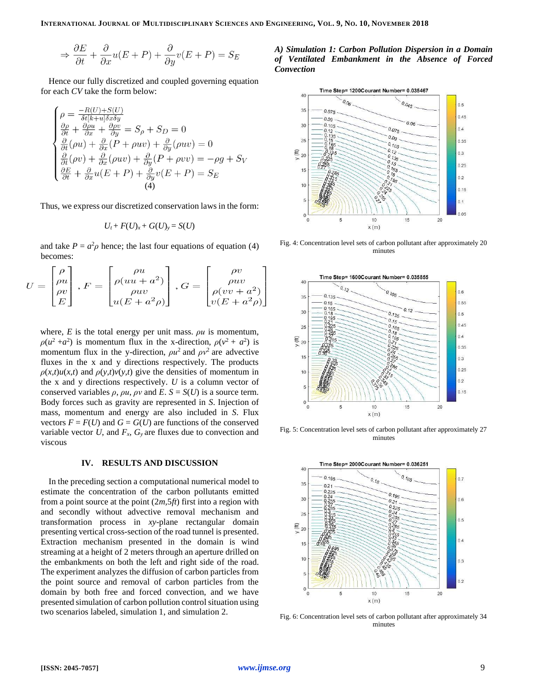$$
\Rightarrow \frac{\partial E}{\partial t} + \frac{\partial}{\partial x}u(E+P) + \frac{\partial}{\partial y}v(E+P) = S_E
$$

Hence our fully discretized and coupled governing equation for each *CV* take the form below:

$$
\begin{cases}\n\rho = \frac{-R(U) + S(U)}{\delta t [k+u] \delta x \delta y} \\
\frac{\partial \rho}{\partial t} + \frac{\partial \rho u}{\partial x} + \frac{\partial \rho v}{\partial y} = S_{\rho} + S_{D} = 0 \\
\frac{\partial}{\partial t} (\rho u) + \frac{\partial}{\partial x} (P + \rho u v) + \frac{\partial}{\partial y} (\rho u v) = 0 \\
\frac{\partial}{\partial t} (\rho v) + \frac{\partial}{\partial x} (\rho u v) + \frac{\partial}{\partial y} (P + \rho v v) = -\rho g + S_{V} \\
\frac{\partial E}{\partial t} + \frac{\partial}{\partial x} u (E + P) + \frac{\partial}{\partial y} v (E + P) = S_{E} \\
\end{cases}
$$
\n(4)

Thus, we express our discretized conservation laws in the form:

$$
U_t + F(U)_x + G(U)_y = S(U)
$$

and take  $P = a^2 \rho$  hence; the last four equations of equation (4) becomes:

$$
U = \begin{bmatrix} \rho \\ \rho u \\ \rho v \\ E \end{bmatrix}, F = \begin{bmatrix} \rho u \\ \rho (uu + a^2) \\ \rho uv \\ u(E + a^2 \rho) \end{bmatrix}, G = \begin{bmatrix} \rho v \\ \rho uv \\ \rho (vv + a^2) \\ v(E + a^2 \rho) \end{bmatrix}
$$

where,  $E$  is the total energy per unit mass.  $\rho u$  is momentum,  $\rho(u^2 + a^2)$  is momentum flux in the x-direction,  $\rho(v^2 + a^2)$  is momentum flux in the y-direction,  $\rho u^2$  and  $\rho v^2$  are advective fluxes in the x and y directions respectively. The products  $\rho(x,t)u(x,t)$  and  $\rho(y,t)v(y,t)$  give the densities of momentum in the x and y directions respectively. *U* is a column vector of conserved variables  $\rho$ ,  $\rho u$ ,  $\rho v$  and  $E$ .  $S = S(U)$  is a source term. Body forces such as gravity are represented in *S*. Injection of mass, momentum and energy are also included in *S*. Flux vectors  $F = F(U)$  and  $G = G(U)$  are functions of the conserved variable vector  $U$ , and  $F_x$ ,  $G_y$  are fluxes due to convection and viscous

#### **IV. RESULTS AND DISCUSSION**

In the preceding section a computational numerical model to estimate the concentration of the carbon pollutants emitted from a point source at the point (2*m,*5*ft*) first into a region with and secondly without advective removal mechanism and transformation process in *xy*-plane rectangular domain presenting vertical cross-section of the road tunnel is presented. Extraction mechanism presented in the domain is wind streaming at a height of 2 meters through an aperture drilled on the embankments on both the left and right side of the road. The experiment analyzes the diffusion of carbon particles from the point source and removal of carbon particles from the domain by both free and forced convection, and we have presented simulation of carbon pollution control situation using two scenarios labeled, simulation 1, and simulation 2.

## *A) Simulation 1: Carbon Pollution Dispersion in a Domain of Ventilated Embankment in the Absence of Forced Convection*



Fig. 4: Concentration level sets of carbon pollutant after approximately 20 minutes



Fig. 5: Concentration level sets of carbon pollutant after approximately 27 minutes



Fig. 6: Concentration level sets of carbon pollutant after approximately 34 minutes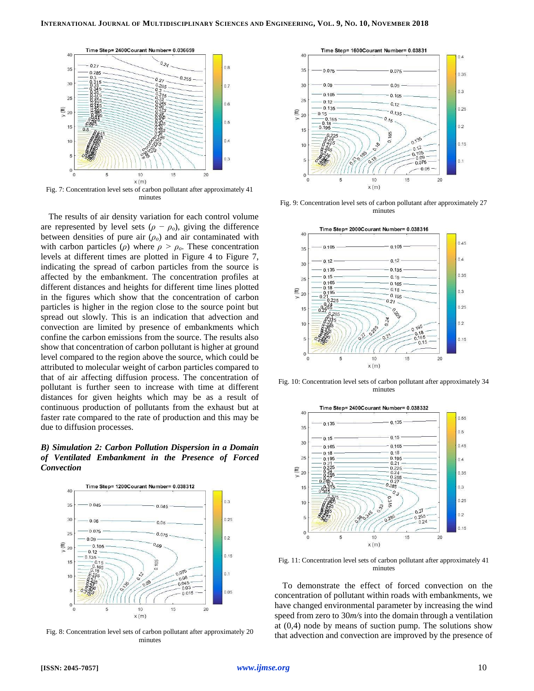

Fig. 7: Concentration level sets of carbon pollutant after approximately 41 minutes

The results of air density variation for each control volume are represented by level sets  $(\rho - \rho_o)$ , giving the difference between densities of pure air (*ρo*) and air contaminated with with carbon particles ( $\rho$ ) where  $\rho > \rho_o$ . These concentration levels at different times are plotted in Figure 4 to Figure 7, indicating the spread of carbon particles from the source is affected by the embankment. The concentration profiles at different distances and heights for different time lines plotted in the figures which show that the concentration of carbon particles is higher in the region close to the source point but spread out slowly. This is an indication that advection and convection are limited by presence of embankments which confine the carbon emissions from the source. The results also show that concentration of carbon pollutant is higher at ground level compared to the region above the source, which could be attributed to molecular weight of carbon particles compared to that of air affecting diffusion process. The concentration of pollutant is further seen to increase with time at different distances for given heights which may be as a result of continuous production of pollutants from the exhaust but at faster rate compared to the rate of production and this may be due to diffusion processes.

*B) Simulation 2: Carbon Pollution Dispersion in a Domain of Ventilated Embankment in the Presence of Forced Convection*



Fig. 8: Concentration level sets of carbon pollutant after approximately 20 minutes



Fig. 9: Concentration level sets of carbon pollutant after approximately 27 minutes



Fig. 10: Concentration level sets of carbon pollutant after approximately 34 minutes



Fig. 11: Concentration level sets of carbon pollutant after approximately 41 minutes

To demonstrate the effect of forced convection on the concentration of pollutant within roads with embankments, we have changed environmental parameter by increasing the wind speed from zero to 30*m/s* into the domain through a ventilation at (0*,*4) node by means of suction pump. The solutions show that advection and convection are improved by the presence of